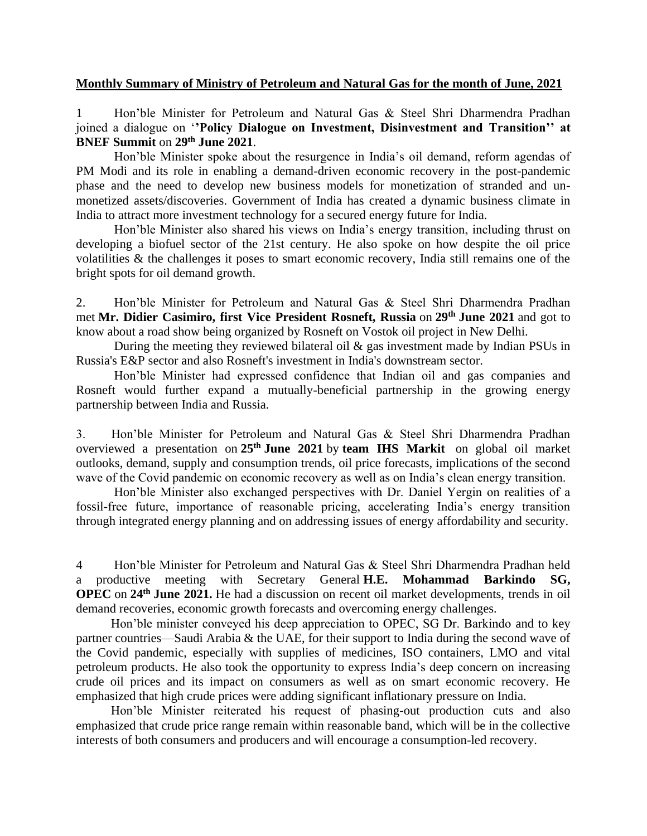## **Monthly Summary of Ministry of Petroleum and Natural Gas for the month of June, 2021**

1 Hon'ble Minister for Petroleum and Natural Gas & Steel Shri Dharmendra Pradhan joined a dialogue on '**'Policy Dialogue on Investment, Disinvestment and Transition'' at BNEF Summit** on **29th June 2021**.

Hon'ble Minister spoke about the resurgence in India's oil demand, reform agendas of PM Modi and its role in enabling a demand-driven economic recovery in the post-pandemic phase and the need to develop new business models for monetization of stranded and unmonetized assets/discoveries. Government of India has created a dynamic business climate in India to attract more investment technology for a secured energy future for India.

Hon'ble Minister also shared his views on India's energy transition, including thrust on developing a biofuel sector of the 21st century. He also spoke on how despite the oil price volatilities & the challenges it poses to smart economic recovery, India still remains one of the bright spots for oil demand growth.

2. Hon'ble Minister for Petroleum and Natural Gas & Steel Shri Dharmendra Pradhan met **Mr. Didier Casimiro, first Vice President Rosneft, Russia** on **29th June 2021** and got to know about a road show being organized by Rosneft on Vostok oil project in New Delhi.

During the meeting they reviewed bilateral oil  $\&$  gas investment made by Indian PSUs in Russia's E&P sector and also Rosneft's investment in India's downstream sector.

Hon'ble Minister had expressed confidence that Indian oil and gas companies and Rosneft would further expand a mutually-beneficial partnership in the growing energy partnership between India and Russia.

3. Hon'ble Minister for Petroleum and Natural Gas & Steel Shri Dharmendra Pradhan overviewed a presentation on **25th June 2021** by **team IHS Markit** on global oil market outlooks, demand, supply and consumption trends, oil price forecasts, implications of the second wave of the Covid pandemic on economic recovery as well as on India's clean energy transition.

Hon'ble Minister also exchanged perspectives with Dr. Daniel Yergin on realities of a fossil-free future, importance of reasonable pricing, accelerating India's energy transition through integrated energy planning and on addressing issues of energy affordability and security.

4 Hon'ble Minister for Petroleum and Natural Gas & Steel Shri Dharmendra Pradhan held a productive meeting with Secretary General **H.E. Mohammad Barkindo SG, OPEC** on **24th June 2021.** He had a discussion on recent oil market developments, trends in oil demand recoveries, economic growth forecasts and overcoming energy challenges.

 Hon'ble minister conveyed his deep appreciation to OPEC, SG Dr. Barkindo and to key partner countries—Saudi Arabia & the UAE, for their support to India during the second wave of the Covid pandemic, especially with supplies of medicines, ISO containers, LMO and vital petroleum products. He also took the opportunity to express India's deep concern on increasing crude oil prices and its impact on consumers as well as on smart economic recovery. He emphasized that high crude prices were adding significant inflationary pressure on India.

 Hon'ble Minister reiterated his request of phasing-out production cuts and also emphasized that crude price range remain within reasonable band, which will be in the collective interests of both consumers and producers and will encourage a consumption-led recovery.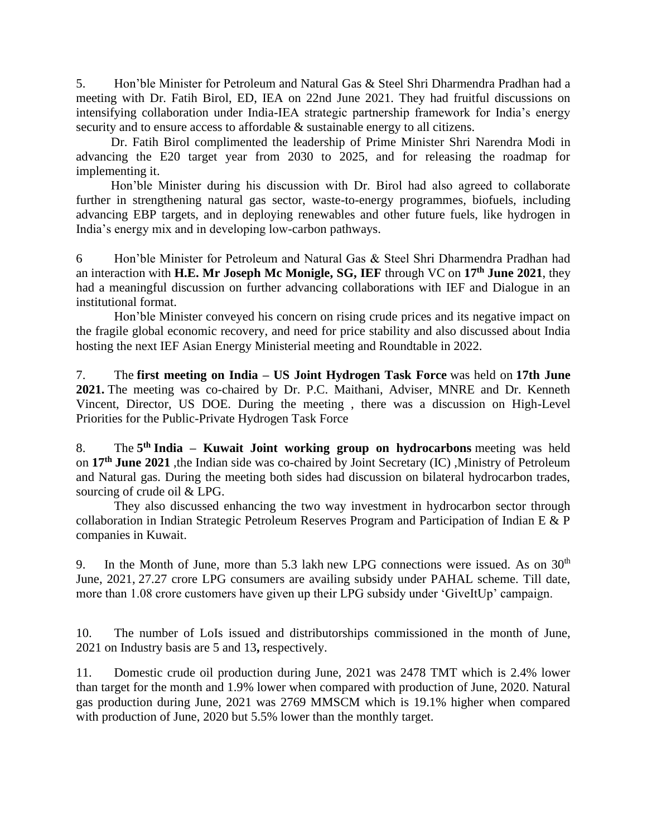5. Hon'ble Minister for Petroleum and Natural Gas & Steel Shri Dharmendra Pradhan had a meeting with Dr. Fatih Birol, ED, IEA on 22nd June 2021. They had fruitful discussions on intensifying collaboration under India-IEA strategic partnership framework for India's energy security and to ensure access to affordable  $\&$  sustainable energy to all citizens.

 Dr. Fatih Birol complimented the leadership of Prime Minister Shri Narendra Modi in advancing the E20 target year from 2030 to 2025, and for releasing the roadmap for implementing it.

 Hon'ble Minister during his discussion with Dr. Birol had also agreed to collaborate further in strengthening natural gas sector, waste-to-energy programmes, biofuels, including advancing EBP targets, and in deploying renewables and other future fuels, like hydrogen in India's energy mix and in developing low-carbon pathways.

6 Hon'ble Minister for Petroleum and Natural Gas & Steel Shri Dharmendra Pradhan had an interaction with **H.E. Mr Joseph Mc Monigle, SG, IEF** through VC on **17th June 2021**, they had a meaningful discussion on further advancing collaborations with IEF and Dialogue in an institutional format.

Hon'ble Minister conveyed his concern on rising crude prices and its negative impact on the fragile global economic recovery, and need for price stability and also discussed about India hosting the next IEF Asian Energy Ministerial meeting and Roundtable in 2022.

7. The **first meeting on India – US Joint Hydrogen Task Force** was held on **17th June 2021.** The meeting was co-chaired by Dr. P.C. Maithani, Adviser, MNRE and Dr. Kenneth Vincent, Director, US DOE. During the meeting , there was a discussion on High-Level Priorities for the Public-Private Hydrogen Task Force

8. The **5 th India – Kuwait Joint working group on hydrocarbons** meeting was held on **17th June 2021** ,the Indian side was co-chaired by Joint Secretary (IC) ,Ministry of Petroleum and Natural gas. During the meeting both sides had discussion on bilateral hydrocarbon trades, sourcing of crude oil & LPG.

They also discussed enhancing the two way investment in hydrocarbon sector through collaboration in Indian Strategic Petroleum Reserves Program and Participation of Indian E & P companies in Kuwait.

9. In the Month of June, more than 5.3 lakh new LPG connections were issued. As on  $30<sup>th</sup>$ June, 2021, 27.27 crore LPG consumers are availing subsidy under PAHAL scheme. Till date, more than 1.08 crore customers have given up their LPG subsidy under 'GiveItUp' campaign.

10. The number of LoIs issued and distributorships commissioned in the month of June, 2021 on Industry basis are 5 and 13**,** respectively.

11. Domestic crude oil production during June, 2021 was 2478 TMT which is 2.4% lower than target for the month and 1.9% lower when compared with production of June, 2020. Natural gas production during June, 2021 was 2769 MMSCM which is 19.1% higher when compared with production of June, 2020 but 5.5% lower than the monthly target.